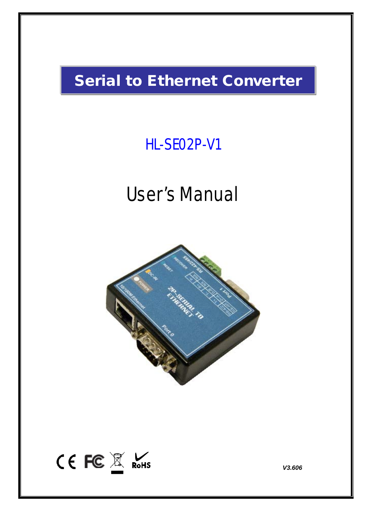# Serial to Ethernet Converter

# HL-SE02P-V1

# User's Manual





*V3.606*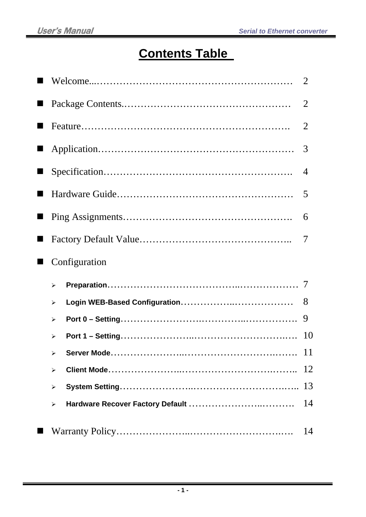## **Contents Table**

|                       | $\overline{2}$ |
|-----------------------|----------------|
|                       | $\overline{2}$ |
|                       | $\overline{2}$ |
|                       | 3              |
|                       | $\overline{4}$ |
|                       | 5              |
|                       | 6              |
|                       | 7              |
| Configuration         |                |
| $\blacktriangleright$ |                |
| ≻                     | 8              |
| ≻                     | 9              |
| ➤                     | 10             |
|                       | <sup>11</sup>  |
| $\blacktriangleright$ | 12             |
| ➤                     | 13             |
| $\blacktriangleright$ | 14             |
|                       | 14             |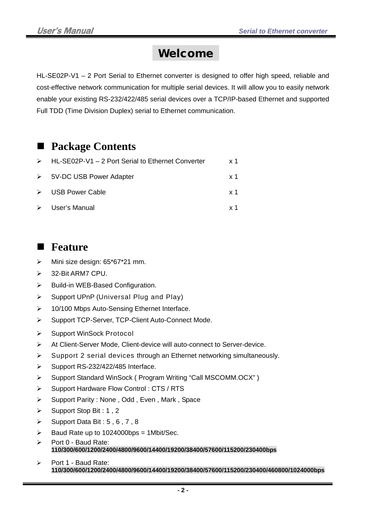### Welcome

HL-SE02P-V1 – 2 Port Serial to Ethernet converter is designed to offer high speed, reliable and cost-effective network communication for multiple serial devices. It will allow you to easily network enable your existing RS-232/422/485 serial devices over a TCP/IP-based Ethernet and supported Full TDD (Time Division Duplex) serial to Ethernet communication.

### ■ Package Contents

| $\triangleright$ HL-SE02P-V1 – 2 Port Serial to Ethernet Converter | x 1        |
|--------------------------------------------------------------------|------------|
| $\triangleright$ 5V-DC USB Power Adapter                           | x 1        |
| $\triangleright$ USB Power Cable                                   | x 1        |
| $\triangleright$ User's Manual                                     | <b>x</b> 1 |

### **■** Feature

- > Mini size design: 65\*67\*21 mm.
- 32-Bit ARM7 CPU.
- $\triangleright$  Build-in WEB-Based Configuration.
- $\triangleright$  Support UPnP (Universal Plug and Play)
- ▶ 10/100 Mbps Auto-Sensing Ethernet Interface.
- ▶ Support TCP-Server, TCP-Client Auto-Connect Mode.
- ▶ Support WinSock Protocol
- At Client-Server Mode, Client-device will auto-connect to Server-device.
- $\triangleright$  Support 2 serial devices through an Ethernet networking simultaneously.
- $\triangleright$  Support RS-232/422/485 Interface.
- Support Standard WinSock ( Program Writing "Call MSCOMM.OCX" )
- Support Hardware Flow Control: CTS / RTS
- Support Parity : None, Odd, Even, Mark, Space
- $\triangleright$  Support Stop Bit : 1, 2
- $\triangleright$  Support Data Bit : 5, 6, 7, 8
- $\triangleright$  Baud Rate up to 1024000bps = 1Mbit/Sec.
- $\triangleright$  Port 0 Baud Rate: **110/300/600/1200/2400/4800/9600/14400/19200/38400/57600/115200/230400bps**
- $\triangleright$  Port 1 Baud Rate: **110/300/600/1200/2400/4800/9600/14400/19200/38400/57600/115200/230400/460800/1024000bps**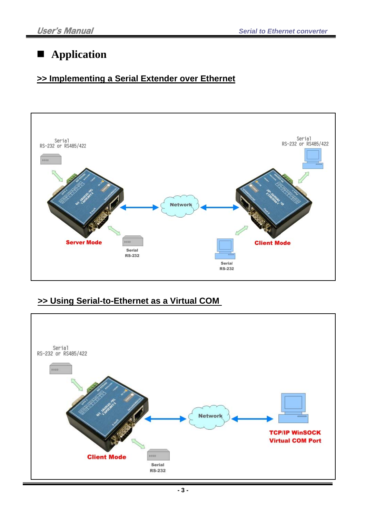### **Application**

### **>> Implementing a Serial Extender over Ethernet**



### **>> Using Serial-to-Ethernet as a Virtual COM**

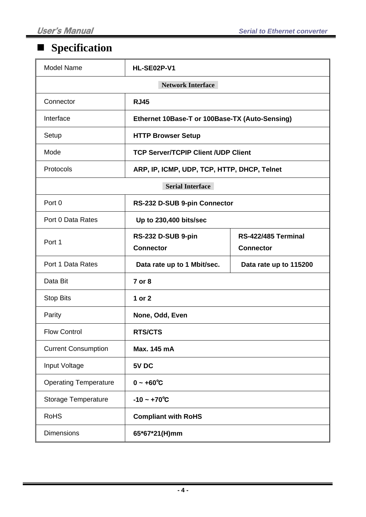## **Specification**

| <b>Model Name</b>            | <b>HL-SE02P-V1</b>                             |                                         |  |  |  |
|------------------------------|------------------------------------------------|-----------------------------------------|--|--|--|
|                              | <b>Network Interface</b>                       |                                         |  |  |  |
| Connector                    | <b>RJ45</b>                                    |                                         |  |  |  |
| Interface                    | Ethernet 10Base-T or 100Base-TX (Auto-Sensing) |                                         |  |  |  |
| Setup                        | <b>HTTP Browser Setup</b>                      |                                         |  |  |  |
| Mode                         | <b>TCP Server/TCPIP Client /UDP Client</b>     |                                         |  |  |  |
| Protocols                    | ARP, IP, ICMP, UDP, TCP, HTTP, DHCP, Telnet    |                                         |  |  |  |
|                              | <b>Serial Interface</b>                        |                                         |  |  |  |
| Port 0                       | RS-232 D-SUB 9-pin Connector                   |                                         |  |  |  |
| Port 0 Data Rates            | Up to 230,400 bits/sec                         |                                         |  |  |  |
| Port 1                       | RS-232 D-SUB 9-pin<br><b>Connector</b>         | RS-422/485 Terminal<br><b>Connector</b> |  |  |  |
| Port 1 Data Rates            | Data rate up to 1 Mbit/sec.                    | Data rate up to 115200                  |  |  |  |
| Data Bit                     | 7 or 8                                         |                                         |  |  |  |
| <b>Stop Bits</b>             | 1 or 2                                         |                                         |  |  |  |
| Parity                       | None, Odd, Even                                |                                         |  |  |  |
| <b>Flow Control</b>          | <b>RTS/CTS</b>                                 |                                         |  |  |  |
| <b>Current Consumption</b>   | Max. 145 mA                                    |                                         |  |  |  |
| Input Voltage                | 5V DC                                          |                                         |  |  |  |
| <b>Operating Temperature</b> | $0 - +60^{\circ}C$                             |                                         |  |  |  |
| <b>Storage Temperature</b>   | $-10 - +70^{\circ}C$                           |                                         |  |  |  |
| <b>RoHS</b>                  | <b>Compliant with RoHS</b>                     |                                         |  |  |  |
| <b>Dimensions</b>            | 65*67*21(H)mm                                  |                                         |  |  |  |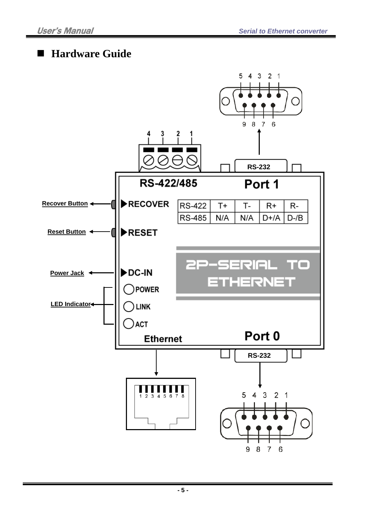### ■ Hardware Guide

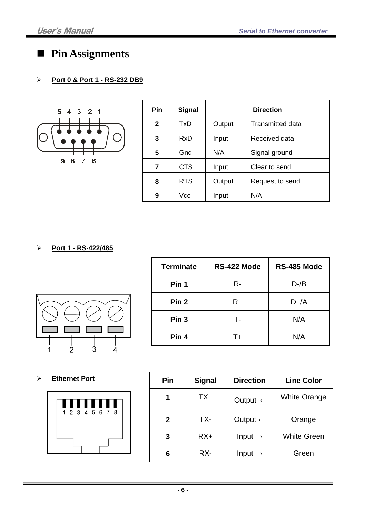### **Pin Assignments**

#### <sup>U</sup>**Port 0 & Port 1 - RS-232 DB9**



| Pin          | <b>Signal</b> |        | <b>Direction</b>        |
|--------------|---------------|--------|-------------------------|
| $\mathbf{2}$ | TxD           | Output | <b>Transmitted data</b> |
| 3            | RxD           | Input  | Received data           |
| 5            | Gnd           | N/A    | Signal ground           |
| 7            | <b>CTS</b>    | Input  | Clear to send           |
| 8            | <b>RTS</b>    | Output | Request to send         |
| 9            | Vcc           | Input  | N/A                     |

<sup>U</sup>**Port 1 - RS-422/485**



| <b>Terminate</b> | RS-422 Mode | RS-485 Mode |
|------------------|-------------|-------------|
| Pin 1            | R-          | $D-A$       |
| Pin <sub>2</sub> | $R+$        | $D+/A$      |
| Pin <sub>3</sub> | т.          | N/A         |
| Pin <sub>4</sub> | T+          | N/A         |

<sup>U</sup>**Ethernet Port** 



| Pin | <b>Signal</b> | <b>Direction</b>    | <b>Line Color</b>   |
|-----|---------------|---------------------|---------------------|
| 1   | TX+           | Output $\leftarrow$ | <b>White Orange</b> |
| 2   | TX-           | Output $\leftarrow$ | Orange              |
| 3   | $RX+$         | Input $\rightarrow$ | <b>White Green</b>  |
| 6   | RX-           | Input $\rightarrow$ | Green               |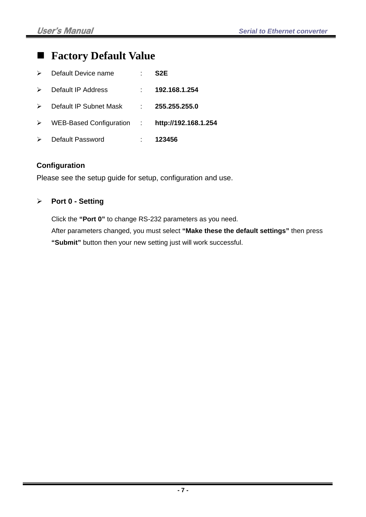### **Factory Default Value**

|                       | $\triangleright$ Default Device name | S2E                  |
|-----------------------|--------------------------------------|----------------------|
| $\triangleright$      | Default IP Address                   | 192.168.1.254        |
| $\triangleright$      | Default IP Subnet Mask :             | 255.255.255.0        |
| $\triangleright$      | WEB-Based Configuration :            | http://192.168.1.254 |
| $\blacktriangleright$ | Default Password                     | 123456               |

#### **Configuration**

Please see the setup guide for setup, configuration and use.

#### **Port 0 - Setting**

Click the **"Port 0"** to change RS-232 parameters as you need.

After parameters changed, you must select **"Make these the default settings"** then press **"Submit"** button then your new setting just will work successful.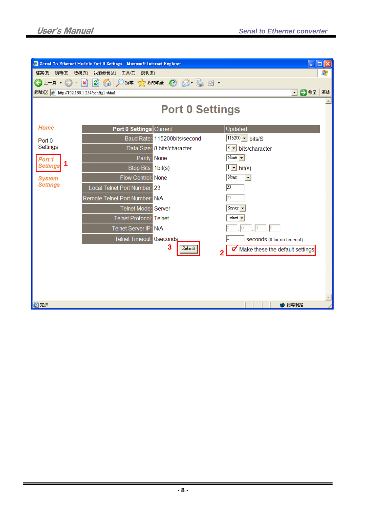| $\ \Box\ \times$<br><b>A</b> Serial To Ethernet Module Port 0 Settings - Microsoft Internet Explorer<br>ш |                                |                              |                                  |  |
|-----------------------------------------------------------------------------------------------------------|--------------------------------|------------------------------|----------------------------------|--|
| 編輯(E)<br>檔案图<br>檢視(V)                                                                                     | 我的最愛(A)<br>工具(I)<br>說明田        |                              | 47                               |  |
| 上一頁→<br>$\overline{\textbf{f}}$                                                                           | E<br>$\boldsymbol{\ast}$<br>GO | 搜尋 ☆ 我的最愛 ② ② △ △ 回 ・        |                                  |  |
| 網址(D) 2 http://192.168.1.254/config1.shtml                                                                |                                |                              | ■移至<br>連結<br>$\vert \cdot \vert$ |  |
|                                                                                                           |                                | <b>Port 0 Settings</b>       | $\leftarrow$                     |  |
| Home                                                                                                      | Port 0 Settings Current        |                              | Updated                          |  |
| Port <sub>0</sub>                                                                                         |                                | Baud Rate: 115200bits/second | $115200 - bits/S$                |  |
| Settings                                                                                                  |                                | Data Size: 8 bits/character  | 8 • bits/character               |  |
| Port 1                                                                                                    | Parity: None                   |                              | None $\vert \mathbf{v} \vert$    |  |
| 1<br><b>Settings</b>                                                                                      | Stop Bits: 1bit(s)             |                              | $1 - \text{bit(s)}$              |  |
| <b>System</b>                                                                                             | Flow Control: None             |                              | None<br>$\blacktriangledown$     |  |
| <b>Settings</b>                                                                                           | Local Telnet Port Number: 23   |                              | $\sqrt{23}$                      |  |
|                                                                                                           | Remote Telnet Port Number: N/A |                              | 23                               |  |
|                                                                                                           | Telnet Mode: Server            |                              | Server $\blacktriangleright$     |  |
|                                                                                                           | <b>Telnet Protocol:</b> Telnet |                              | Telnet $\blacktriangleright$     |  |
|                                                                                                           | Telnet Server IP: N/A          |                              | Ю.<br>$\mathbb{R}^{\mathbb{C}}$  |  |
|                                                                                                           | Telnet Timeout: Oseconds       |                              | 10<br>Seconds (0 for no timeout) |  |
|                                                                                                           |                                | 3<br>Submit                  | Make these the default settings. |  |
|                                                                                                           |                                |                              |                                  |  |
|                                                                                                           |                                |                              |                                  |  |
|                                                                                                           |                                |                              |                                  |  |
|                                                                                                           |                                |                              |                                  |  |
|                                                                                                           |                                |                              |                                  |  |
| 图完成                                                                                                       |                                |                              | 3 網際網路                           |  |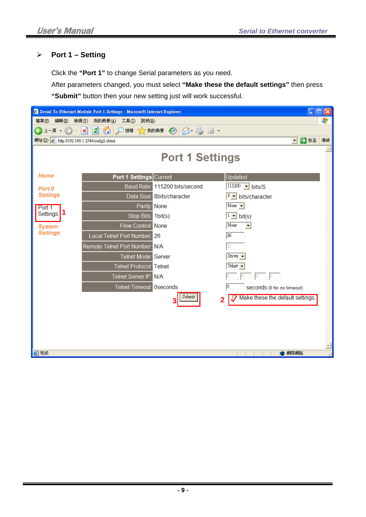#### **Port 1 – Setting**

Click the **"Port 1"** to change Serial parameters as you need.

After parameters changed, you must select **"Make these the default settings"** then press **"Submit"** button then your new setting just will work successful.

| Serial To Ethernet Module Port 1 Settings - Microsoft Internet Explorer<br>⊡∥× |                                       |                               |                                                    |  |
|--------------------------------------------------------------------------------|---------------------------------------|-------------------------------|----------------------------------------------------|--|
| 檔案(F)<br>編輯(E)                                                                 | 檢視(V)<br>我的最愛(A)<br>工具(I)<br>說明(H)    |                               | Æ                                                  |  |
| 上一頁 → (一)<br>$\bar{\nu}$                                                       | ie.<br>$ \mathbf{x} $<br>$\mathbf{G}$ | 搜尋 大我的最爱 3 8 8 3 回            |                                                    |  |
| 網址(D) 2 http://192.168.1.254/config2.shtml                                     |                                       |                               | ■移至<br>連結<br>$\vert \cdot \vert$                   |  |
|                                                                                |                                       | <b>Port 1 Settings</b>        | $\blacktriangle$                                   |  |
| Home                                                                           | Port 1 Settings Current               |                               | Updated                                            |  |
| Port 0                                                                         |                                       | Baud Rate: 115200 bits/second | $115200 -  \cdot \cdot \cdot$ bits/S               |  |
| <b>Settings</b>                                                                |                                       | Data Size: 8bits/character    | 8 • bits/character                                 |  |
| Port 1                                                                         | Parity: None                          |                               | None $\vert \mathbf{v} \vert$                      |  |
| l 1<br>Settings                                                                | Stop Bits: 1bit(s)                    |                               | $1 - \text{bit(s)}$                                |  |
| <b>System</b>                                                                  | Flow Control: None                    |                               | None<br>$\blacktriangledown$                       |  |
| <b>Settings</b>                                                                | Local Telnet Port Number: 26          |                               | 26                                                 |  |
|                                                                                | Remote Telnet Port Number: N/A        |                               |                                                    |  |
|                                                                                | Telnet Mode: Server                   |                               | Server -                                           |  |
|                                                                                | <b>Telnet Protocol:</b> Telnet        |                               | Telnet $\blacktriangleright$                       |  |
|                                                                                | Telnet Server IP: N/A                 |                               |                                                    |  |
|                                                                                | Telnet Timeout: Oseconds              |                               | 10<br>Seconds (0 for no timeout)                   |  |
|                                                                                |                                       | Submit                        | Make these the default settings.<br>$\overline{2}$ |  |
|                                                                                |                                       |                               |                                                    |  |
|                                                                                |                                       |                               |                                                    |  |
|                                                                                |                                       |                               |                                                    |  |
| 图完成                                                                            |                                       |                               | ● 網際網路                                             |  |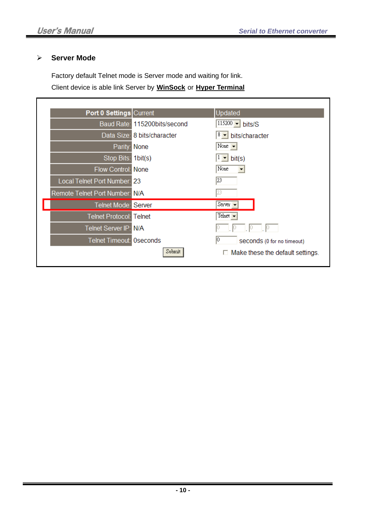#### **Server Mode**

Г

Factory default Telnet mode is Server mode and waiting for link.

Client device is able link Server by **WinSock** or **Hyper Terminal** 

| Port 0 Settings Current         |                              | Updated                                 |
|---------------------------------|------------------------------|-----------------------------------------|
|                                 | Baud Rate: 115200bits/second | $115200 - bits/S$                       |
|                                 | Data Size: 8 bits/character  | $8 - \text{bits/character}$             |
| Parity: None                    |                              | None $\vert \mathbf{v} \vert$           |
| Stop Bits: 1bit(s)              |                              | bit(s)<br>▾                             |
| Flow Control: None              |                              | None                                    |
| Local Telnet Port Number: 23    |                              | 23                                      |
| Remote Telnet Port Number: N/A  |                              |                                         |
| Telnet Mode: Server             |                              | Server $\blacktriangledown$             |
| <b>Telnet Protocol: Telnet</b>  |                              | Telnet $\blacktriangleright$            |
| Telnet Server IP: N/A           |                              |                                         |
| <b>Telnet Timeout: Oseconds</b> |                              | 10<br>Seconds (0 for no timeout)        |
|                                 | Submit                       | $\Box$ Make these the default settings. |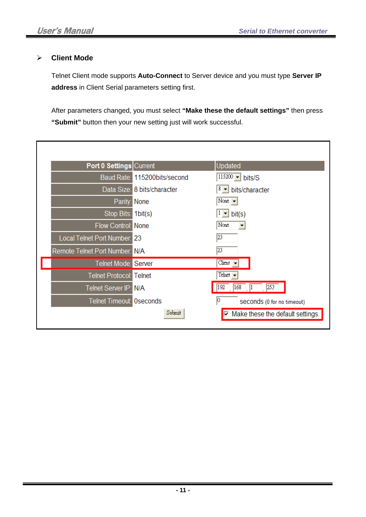#### **Client Mode**

Telnet Client mode supports **Auto-Connect** to Server device and you must type **Server IP address** in Client Serial parameters setting first.

After parameters changed, you must select **"Make these the default settings"** then press **"Submit"** button then your new setting just will work successful.

| Port 0 Settings Current        |                              | Updated                                     |
|--------------------------------|------------------------------|---------------------------------------------|
|                                | Baud Rate: 115200bits/second | $115200 - bits/S$                           |
|                                | Data Size: 8 bits/character  | 8<br>bits/character                         |
| Parity: None                   |                              | None $\overline{\phantom{a}}$               |
| Stop Bits: 1bit(s)             |                              | bit(s)                                      |
| Flow Control: None             |                              | None                                        |
| Local Telnet Port Number: 23   |                              | 23                                          |
| Remote Telnet Port Number: N/A |                              | 23                                          |
| Telnet Mode: Server            |                              | Client $\blacktriangleright$                |
| <b>Telnet Protocol: Telnet</b> |                              | Telnet $\overline{\phantom{a}}$             |
| Telnet Server IP: N/A          |                              | 168<br>$\sqrt{253}$<br> 192                 |
| Telnet Timeout: Oseconds       |                              | 10<br>Seconds (0 for no timeout)            |
|                                | Submit                       | $\n  \Box Make these the default settings.$ |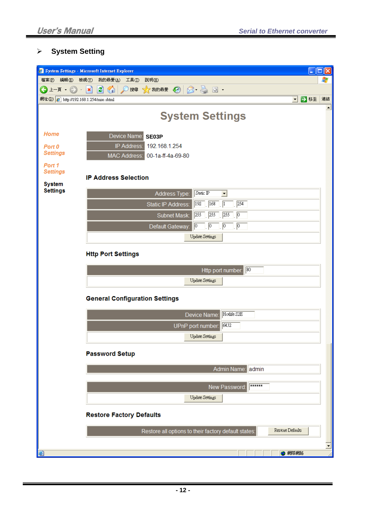#### **System Setting**

|                                         | $\Box$ o $\mathsf{K}$<br><sup>2</sup> System Settings - Microsoft Internet Explorer                 |    |
|-----------------------------------------|-----------------------------------------------------------------------------------------------------|----|
| 檔案图<br>編輯(E)                            | 檢視①<br>我的最愛(A)<br>工具(T)<br>說明(H)<br>4                                                               |    |
| G<br>上一頁一                               | ☆ 郑明 → 3<br>$ \boldsymbol{z} $<br>G<br>×<br>搜尋<br>$\circ$ $\cdot$                                   |    |
| 網址(D) 2 http://192.168.1.254/misc.shtml | ■移至<br>$\vert \cdot \vert$                                                                          | 連結 |
|                                         | <b>System Settings</b>                                                                              | ▲  |
| Home                                    | Device Name:<br>SE03P                                                                               |    |
| Port 0                                  | IP Address:<br>192.168.1.254                                                                        |    |
| <b>Settings</b>                         | MAC Address: 00-1a-ff-4a-69-80                                                                      |    |
| Port 1<br><b>Settings</b>               |                                                                                                     |    |
|                                         | <b>IP Address Selection</b>                                                                         |    |
| <b>System</b><br><b>Settings</b>        | Static IP                                                                                           |    |
|                                         | Address Type:<br>$\blacktriangledown$<br>$\sqrt{254}$<br>$\sqrt{192}$<br>$\sqrt{168}$<br>$\sqrt{1}$ |    |
|                                         | Static IP Address:                                                                                  |    |
|                                         | 255<br>255<br>1. p<br>255<br>Subnet Mask:                                                           |    |
|                                         | $\sqrt{6}$<br>1. p<br>$\sqrt{0}$<br>Default Gateway<br>10                                           |    |
|                                         | <b>Update Settings</b>                                                                              |    |
|                                         | <b>Http Port Settings</b>                                                                           |    |
|                                         |                                                                                                     |    |
|                                         | $\sqrt{80}$<br>Http port number:                                                                    |    |
|                                         | <b>Update Settings</b>                                                                              |    |
|                                         | <b>General Configuration Settings</b>                                                               |    |
|                                         |                                                                                                     |    |
|                                         | Hotlife S2E<br>Device Name:                                                                         |    |
|                                         | 6432<br>UPnP port number:                                                                           |    |
|                                         | <b>Update Settings</b>                                                                              |    |
|                                         |                                                                                                     |    |
|                                         | <b>Password Setup</b>                                                                               |    |
|                                         | Admin Name: admin                                                                                   |    |
|                                         | ******                                                                                              |    |
|                                         | New Password:                                                                                       |    |
|                                         | Update Settings                                                                                     |    |
|                                         | <b>Restore Factory Defaults</b>                                                                     |    |
|                                         | Restore Defaults<br>Restore all options to their factory default states:                            |    |
|                                         |                                                                                                     |    |
| Ð                                       | ● 網際網路                                                                                              |    |